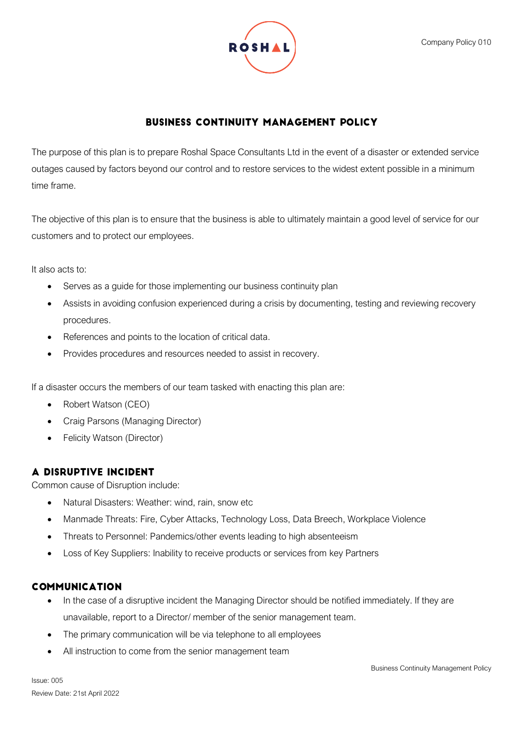

# **BUSINESS CONTINUITY MANAGEMENT POLICY**

The purpose of this plan is to prepare Roshal Space Consultants Ltd in the event of a disaster or extended service outages caused by factors beyond our control and to restore services to the widest extent possible in a minimum time frame.

The objective of this plan is to ensure that the business is able to ultimately maintain a good level of service for our customers and to protect our employees.

It also acts to:

- Serves as a guide for those implementing our business continuity plan
- Assists in avoiding confusion experienced during a crisis by documenting, testing and reviewing recovery procedures.
- References and points to the location of critical data.
- Provides procedures and resources needed to assist in recovery.

If a disaster occurs the members of our team tasked with enacting this plan are:

- Robert Watson (CEO)
- Craig Parsons (Managing Director)
- Felicity Watson (Director)

## A DISRUPTIVE INCIDENT

Common cause of Disruption include:

- Natural Disasters: Weather: wind, rain, snow etc
- Manmade Threats: Fire, Cyber Attacks, Technology Loss, Data Breech, Workplace Violence
- Threats to Personnel: Pandemics/other events leading to high absenteeism
- Loss of Key Suppliers: Inability to receive products or services from key Partners

## **COMMUNICATION**

- In the case of a disruptive incident the Managing Director should be notified immediately. If they are unavailable, report to a Director/ member of the senior management team.
- The primary communication will be via telephone to all employees
- All instruction to come from the senior management team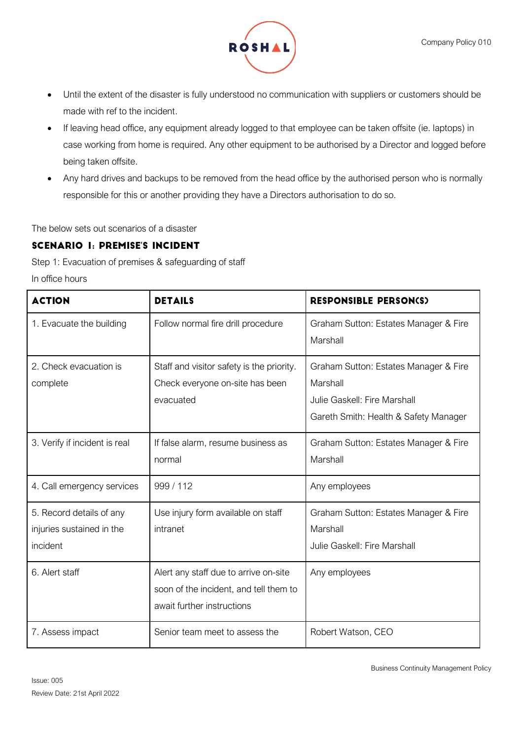

- Until the extent of the disaster is fully understood no communication with suppliers or customers should be made with ref to the incident.
- If leaving head office, any equipment already logged to that employee can be taken offsite (ie. laptops) in case working from home is required. Any other equipment to be authorised by a Director and logged before being taken offsite.
- Any hard drives and backups to be removed from the head office by the authorised person who is normally responsible for this or another providing they have a Directors authorisation to do so.

The below sets out scenarios of a disaster

# **SCENARIO I: PREMISE'S INCIDENT**

Step 1: Evacuation of premises & safeguarding of staff

In office hours

| <b>ACTION</b>                                                     | <b>DETAILS</b>                                                                                                | <b>RESPONSIBLE PERSON(S)</b>                                                                                               |
|-------------------------------------------------------------------|---------------------------------------------------------------------------------------------------------------|----------------------------------------------------------------------------------------------------------------------------|
| 1. Evacuate the building                                          | Follow normal fire drill procedure                                                                            | Graham Sutton: Estates Manager & Fire<br>Marshall                                                                          |
| 2. Check evacuation is<br>complete                                | Staff and visitor safety is the priority.<br>Check everyone on-site has been<br>evacuated                     | Graham Sutton: Estates Manager & Fire<br>Marshall<br>Julie Gaskell: Fire Marshall<br>Gareth Smith: Health & Safety Manager |
| 3. Verify if incident is real                                     | If false alarm, resume business as<br>normal                                                                  | Graham Sutton: Estates Manager & Fire<br>Marshall                                                                          |
| 4. Call emergency services                                        | 999/112                                                                                                       | Any employees                                                                                                              |
| 5. Record details of any<br>injuries sustained in the<br>incident | Use injury form available on staff<br>intranet                                                                | Graham Sutton: Estates Manager & Fire<br>Marshall<br>Julie Gaskell: Fire Marshall                                          |
| 6. Alert staff                                                    | Alert any staff due to arrive on-site<br>soon of the incident, and tell them to<br>await further instructions | Any employees                                                                                                              |
| 7. Assess impact                                                  | Senior team meet to assess the                                                                                | Robert Watson, CEO                                                                                                         |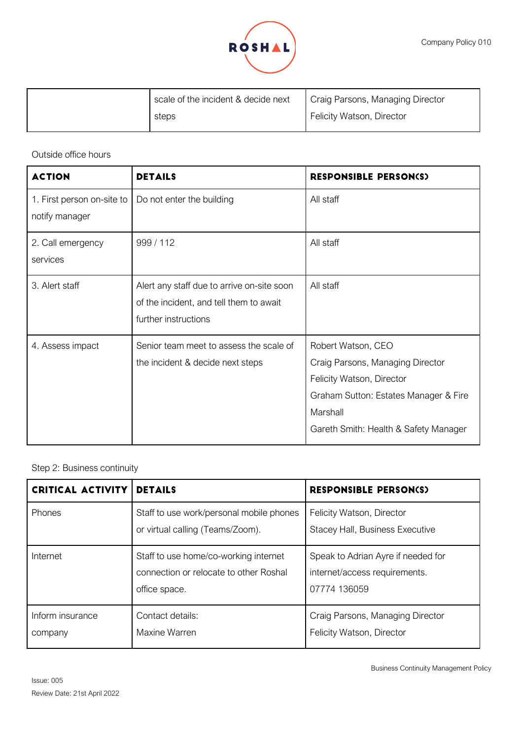

| scale of the incident & decide next | Craig Parsons, Managing Director |
|-------------------------------------|----------------------------------|
| steps                               | Felicity Watson, Director        |

Outside office hours

| <b>ACTION</b>                                | <b>DETAILS</b>                                                                                                | <b>RESPONSIBLE PERSON(S)</b>                                                                                                                                                      |
|----------------------------------------------|---------------------------------------------------------------------------------------------------------------|-----------------------------------------------------------------------------------------------------------------------------------------------------------------------------------|
| 1. First person on-site to<br>notify manager | Do not enter the building                                                                                     | All staff                                                                                                                                                                         |
| 2. Call emergency<br>services                | 999 / 112                                                                                                     | All staff                                                                                                                                                                         |
| 3. Alert staff                               | Alert any staff due to arrive on-site soon<br>of the incident, and tell them to await<br>further instructions | All staff                                                                                                                                                                         |
| 4. Assess impact                             | Senior team meet to assess the scale of<br>the incident & decide next steps                                   | Robert Watson, CEO<br>Craig Parsons, Managing Director<br>Felicity Watson, Director<br>Graham Sutton: Estates Manager & Fire<br>Marshall<br>Gareth Smith: Health & Safety Manager |

Step 2: Business continuity

| <b>CRITICAL ACTIVITY</b>    | <b>DETAILS</b>                                                                                   | <b>RESPONSIBLE PERSON(S)</b>                                                        |
|-----------------------------|--------------------------------------------------------------------------------------------------|-------------------------------------------------------------------------------------|
| Phones                      | Staff to use work/personal mobile phones<br>or virtual calling (Teams/Zoom).                     | Felicity Watson, Director<br>Stacey Hall, Business Executive                        |
| Internet                    | Staff to use home/co-working internet<br>connection or relocate to other Roshal<br>office space. | Speak to Adrian Ayre if needed for<br>internet/access requirements.<br>07774 136059 |
| Inform insurance<br>company | Contact details:<br>Maxine Warren                                                                | Craig Parsons, Managing Director<br>Felicity Watson, Director                       |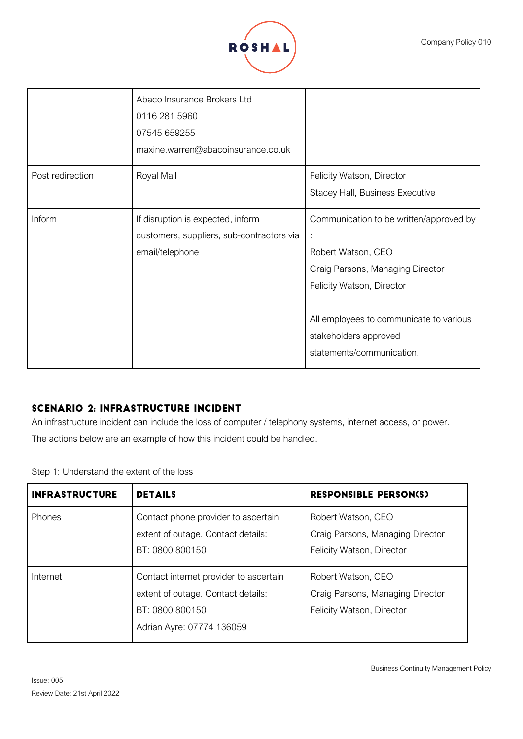

|                  | Abaco Insurance Brokers Ltd<br>0116 281 5960<br>07545 659255<br>maxine.warren@abacoinsurance.co.uk |                                                                                                                                                                                                                                      |
|------------------|----------------------------------------------------------------------------------------------------|--------------------------------------------------------------------------------------------------------------------------------------------------------------------------------------------------------------------------------------|
| Post redirection | Royal Mail                                                                                         | Felicity Watson, Director<br>Stacey Hall, Business Executive                                                                                                                                                                         |
| Inform           | If disruption is expected, inform<br>customers, suppliers, sub-contractors via<br>email/telephone  | Communication to be written/approved by<br>÷<br>Robert Watson, CEO<br>Craig Parsons, Managing Director<br>Felicity Watson, Director<br>All employees to communicate to various<br>stakeholders approved<br>statements/communication. |

## **SCENARIO 2: INFRASTRUCTURE INCIDENT**

An infrastructure incident can include the loss of computer / telephony systems, internet access, or power.

The actions below are an example of how this incident could be handled.

Step 1: Understand the extent of the loss

| <b>INFRASTRUCTURE</b> | <b>DETAILS</b>                                                                                                               | <b>RESPONSIBLE PERSON(S)</b>                                                        |
|-----------------------|------------------------------------------------------------------------------------------------------------------------------|-------------------------------------------------------------------------------------|
| <b>Phones</b>         | Contact phone provider to ascertain<br>extent of outage. Contact details:<br>BT: 0800 800150                                 | Robert Watson, CEO<br>Craig Parsons, Managing Director<br>Felicity Watson, Director |
| Internet              | Contact internet provider to ascertain<br>extent of outage. Contact details:<br>BT: 0800 800150<br>Adrian Ayre: 07774 136059 | Robert Watson, CEO<br>Craig Parsons, Managing Director<br>Felicity Watson, Director |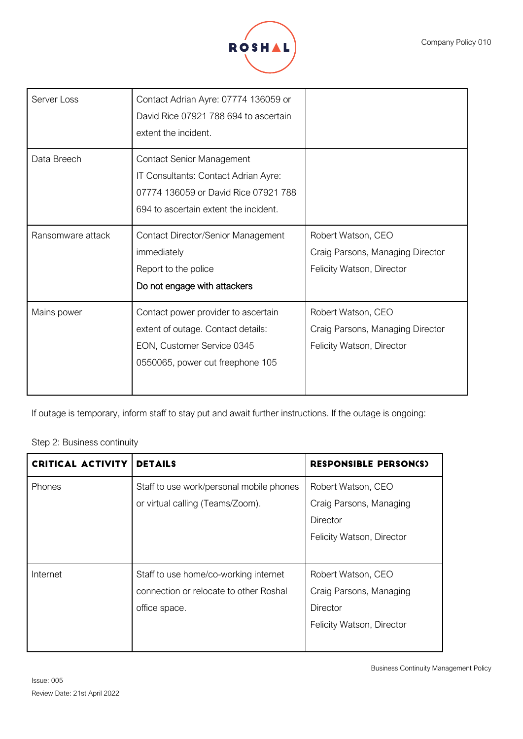

| Craig Parsons, Managing Director |
|----------------------------------|
|                                  |
|                                  |
|                                  |
| Craig Parsons, Managing Director |
|                                  |
|                                  |
|                                  |
|                                  |

If outage is temporary, inform staff to stay put and await further instructions. If the outage is ongoing:

## Step 2: Business continuity

| <b>CRITICAL ACTIVITY</b> | <b>DETAILS</b>                           | <b>RESPONSIBLE PERSON(S)</b> |
|--------------------------|------------------------------------------|------------------------------|
| <b>Phones</b>            | Staff to use work/personal mobile phones | Robert Watson, CEO           |
|                          | or virtual calling (Teams/Zoom).         | Craig Parsons, Managing      |
|                          |                                          | Director                     |
|                          |                                          | Felicity Watson, Director    |
|                          |                                          |                              |
| Internet                 | Staff to use home/co-working internet    | Robert Watson, CEO           |
|                          | connection or relocate to other Roshal   | Craig Parsons, Managing      |
|                          | office space.                            | Director                     |
|                          |                                          | Felicity Watson, Director    |
|                          |                                          |                              |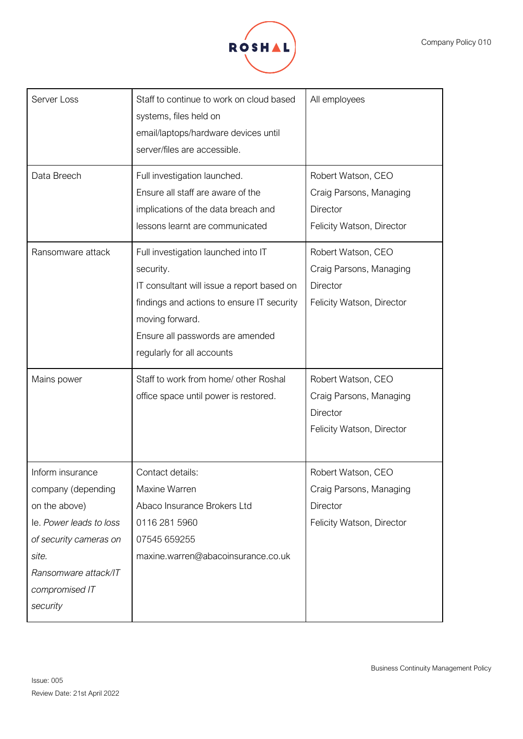

| Server Loss<br>Data Breech                                                                                                                                                  | Staff to continue to work on cloud based<br>systems, files held on<br>email/laptops/hardware devices until<br>server/files are accessible.<br>Full investigation launched.<br>Ensure all staff are aware of the<br>implications of the data breach and               | All employees<br>Robert Watson, CEO<br>Craig Parsons, Managing<br>Director                                          |
|-----------------------------------------------------------------------------------------------------------------------------------------------------------------------------|----------------------------------------------------------------------------------------------------------------------------------------------------------------------------------------------------------------------------------------------------------------------|---------------------------------------------------------------------------------------------------------------------|
| Ransomware attack                                                                                                                                                           | lessons learnt are communicated<br>Full investigation launched into IT<br>security.<br>IT consultant will issue a report based on<br>findings and actions to ensure IT security<br>moving forward.<br>Ensure all passwords are amended<br>regularly for all accounts | Felicity Watson, Director<br>Robert Watson, CEO<br>Craig Parsons, Managing<br>Director<br>Felicity Watson, Director |
| Mains power                                                                                                                                                                 | Staff to work from home/ other Roshal<br>office space until power is restored.                                                                                                                                                                                       | Robert Watson, CEO<br>Craig Parsons, Managing<br>Director<br>Felicity Watson, Director                              |
| Inform insurance<br>company (depending<br>on the above)<br>le. Power leads to loss<br>of security cameras on<br>site.<br>Ransomware attack/IT<br>compromised IT<br>security | Contact details:<br>Maxine Warren<br>Abaco Insurance Brokers Ltd<br>0116 281 5960<br>07545 659255<br>maxine.warren@abacoinsurance.co.uk                                                                                                                              | Robert Watson, CEO<br>Craig Parsons, Managing<br>Director<br>Felicity Watson, Director                              |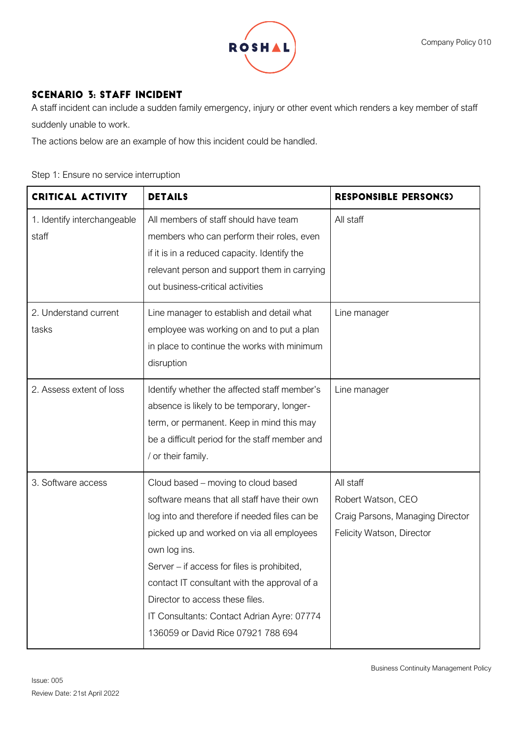

# **SCENARIO 3: STAFF INCIDENT**

A staff incident can include a sudden family emergency, injury or other event which renders a key member of staff suddenly unable to work.

The actions below are an example of how this incident could be handled.

### Step 1: Ensure no service interruption

| <b>CRITICAL ACTIVITY</b>             | <b>DETAILS</b>                                                                                                                                                                                                                                                                                                                                                                                                          | <b>RESPONSIBLE PERSON(S)</b>                                                                     |
|--------------------------------------|-------------------------------------------------------------------------------------------------------------------------------------------------------------------------------------------------------------------------------------------------------------------------------------------------------------------------------------------------------------------------------------------------------------------------|--------------------------------------------------------------------------------------------------|
| 1. Identify interchangeable<br>staff | All members of staff should have team<br>members who can perform their roles, even<br>if it is in a reduced capacity. Identify the<br>relevant person and support them in carrying<br>out business-critical activities                                                                                                                                                                                                  | All staff                                                                                        |
| 2. Understand current<br>tasks       | Line manager to establish and detail what<br>employee was working on and to put a plan<br>in place to continue the works with minimum<br>disruption                                                                                                                                                                                                                                                                     | Line manager                                                                                     |
| 2. Assess extent of loss             | Identify whether the affected staff member's<br>absence is likely to be temporary, longer-<br>term, or permanent. Keep in mind this may<br>be a difficult period for the staff member and<br>/ or their family.                                                                                                                                                                                                         | Line manager                                                                                     |
| 3. Software access                   | Cloud based – moving to cloud based<br>software means that all staff have their own<br>log into and therefore if needed files can be<br>picked up and worked on via all employees<br>own log ins.<br>Server – if access for files is prohibited,<br>contact IT consultant with the approval of a<br>Director to access these files.<br>IT Consultants: Contact Adrian Ayre: 07774<br>136059 or David Rice 07921 788 694 | All staff<br>Robert Watson, CEO<br>Craig Parsons, Managing Director<br>Felicity Watson, Director |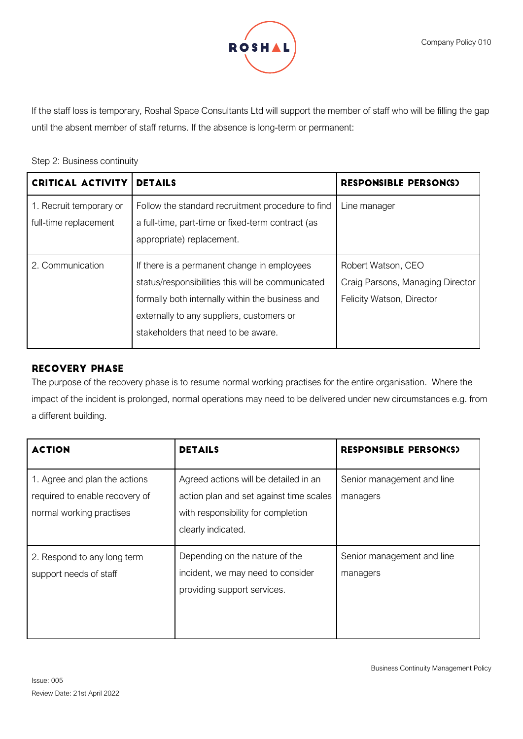

If the staff loss is temporary, Roshal Space Consultants Ltd will support the member of staff who will be filling the gap until the absent member of staff returns. If the absence is long-term or permanent:

### Step 2: Business continuity

| <b>CRITICAL ACTIVITY</b>                         | <b>DETAILS</b>                                                                                                                                                                                                                           | <b>RESPONSIBLE PERSON(S)</b>                                                        |
|--------------------------------------------------|------------------------------------------------------------------------------------------------------------------------------------------------------------------------------------------------------------------------------------------|-------------------------------------------------------------------------------------|
| 1. Recruit temporary or<br>full-time replacement | Follow the standard recruitment procedure to find<br>a full-time, part-time or fixed-term contract (as<br>appropriate) replacement.                                                                                                      | Line manager                                                                        |
| 2. Communication                                 | If there is a permanent change in employees<br>status/responsibilities this will be communicated<br>formally both internally within the business and<br>externally to any suppliers, customers or<br>stakeholders that need to be aware. | Robert Watson, CEO<br>Craig Parsons, Managing Director<br>Felicity Watson, Director |

### **RECOVERY PHASE**

The purpose of the recovery phase is to resume normal working practises for the entire organisation. Where the impact of the incident is prolonged, normal operations may need to be delivered under new circumstances e.g. from a different building.

| <b>ACTION</b>                                                                               | <b>DETAILS</b>                                                                                                                               | <b>RESPONSIBLE PERSON(S)</b>           |
|---------------------------------------------------------------------------------------------|----------------------------------------------------------------------------------------------------------------------------------------------|----------------------------------------|
| 1. Agree and plan the actions<br>required to enable recovery of<br>normal working practises | Agreed actions will be detailed in an<br>action plan and set against time scales<br>with responsibility for completion<br>clearly indicated. | Senior management and line<br>managers |
| 2. Respond to any long term<br>support needs of staff                                       | Depending on the nature of the<br>incident, we may need to consider<br>providing support services.                                           | Senior management and line<br>managers |